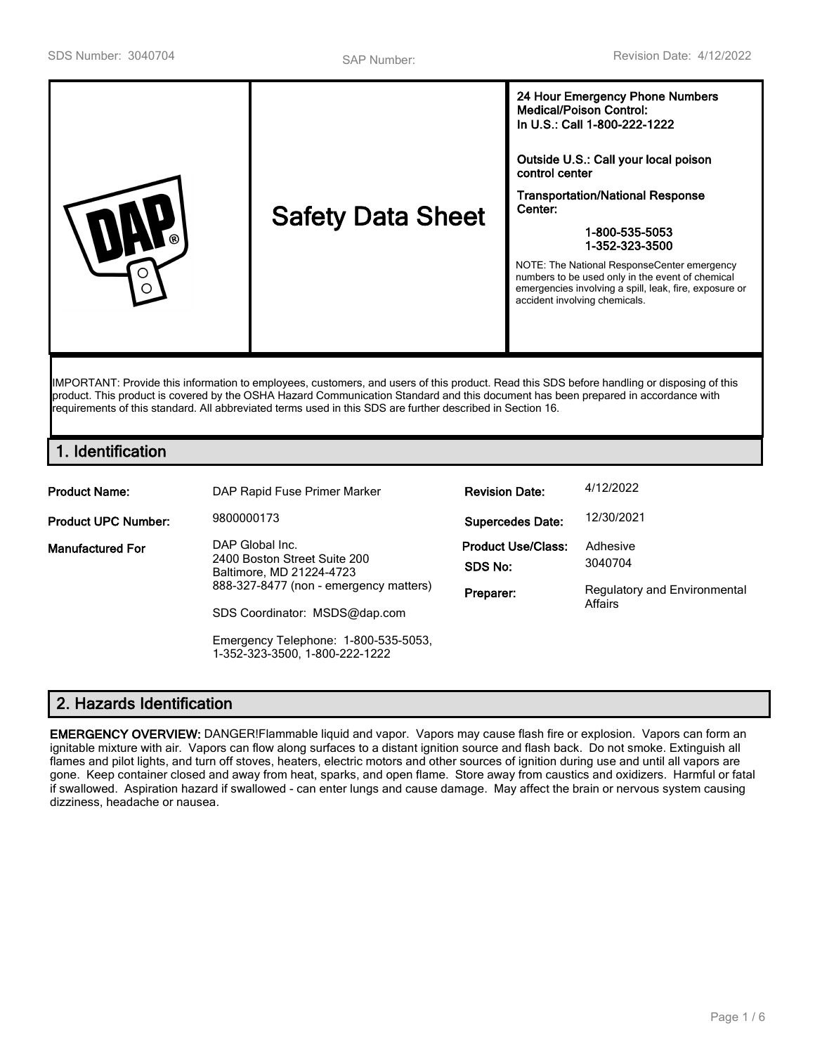| numbers to be used only in the event of chemical<br>emergencies involving a spill, leak, fire, exposure or<br>∩<br>accident involving chemicals. | <b>Medical/Poison Control:</b><br>In U.S.: Call 1-800-222-1222<br>Outside U.S.: Call your local poison<br>control center<br><b>Transportation/National Response</b><br>Center:<br><b>Safety Data Sheet</b><br>1-800-535-5053<br>1-352-323-3500<br>NOTE: The National ResponseCenter emergency |
|--------------------------------------------------------------------------------------------------------------------------------------------------|-----------------------------------------------------------------------------------------------------------------------------------------------------------------------------------------------------------------------------------------------------------------------------------------------|
|--------------------------------------------------------------------------------------------------------------------------------------------------|-----------------------------------------------------------------------------------------------------------------------------------------------------------------------------------------------------------------------------------------------------------------------------------------------|

IMPORTANT: Provide this information to employees, customers, and users of this product. Read this SDS before handling or disposing of this product. This product is covered by the OSHA Hazard Communication Standard and this document has been prepared in accordance with requirements of this standard. All abbreviated terms used in this SDS are further described in Section 16.

# **1. Identification**

| <b>Product Name:</b>                       | DAP Rapid Fuse Primer Marker                                                                       | <b>Revision Date:</b>     | 4/12/2022                    |
|--------------------------------------------|----------------------------------------------------------------------------------------------------|---------------------------|------------------------------|
| <b>Product UPC Number:</b>                 | 9800000173                                                                                         | <b>Supercedes Date:</b>   | 12/30/2021                   |
| DAP Global Inc.<br><b>Manufactured For</b> |                                                                                                    | <b>Product Use/Class:</b> | Adhesive                     |
|                                            | 2400 Boston Street Suite 200<br>Baltimore, MD 21224-4723<br>888-327-8477 (non - emergency matters) | SDS No:                   | 3040704                      |
|                                            |                                                                                                    | Preparer:                 | Regulatory and Environmental |
|                                            | SDS Coordinator: MSDS@dap.com                                                                      |                           | Affairs                      |
|                                            | Emergency Telephone: 1-800-535-5053,<br>1-352-323-3500, 1-800-222-1222                             |                           |                              |

# **2. Hazards Identification**

**EMERGENCY OVERVIEW:** DANGER!Flammable liquid and vapor. Vapors may cause flash fire or explosion. Vapors can form an ignitable mixture with air. Vapors can flow along surfaces to a distant ignition source and flash back. Do not smoke. Extinguish all flames and pilot lights, and turn off stoves, heaters, electric motors and other sources of ignition during use and until all vapors are gone. Keep container closed and away from heat, sparks, and open flame. Store away from caustics and oxidizers. Harmful or fatal if swallowed. Aspiration hazard if swallowed - can enter lungs and cause damage. May affect the brain or nervous system causing dizziness, headache or nausea.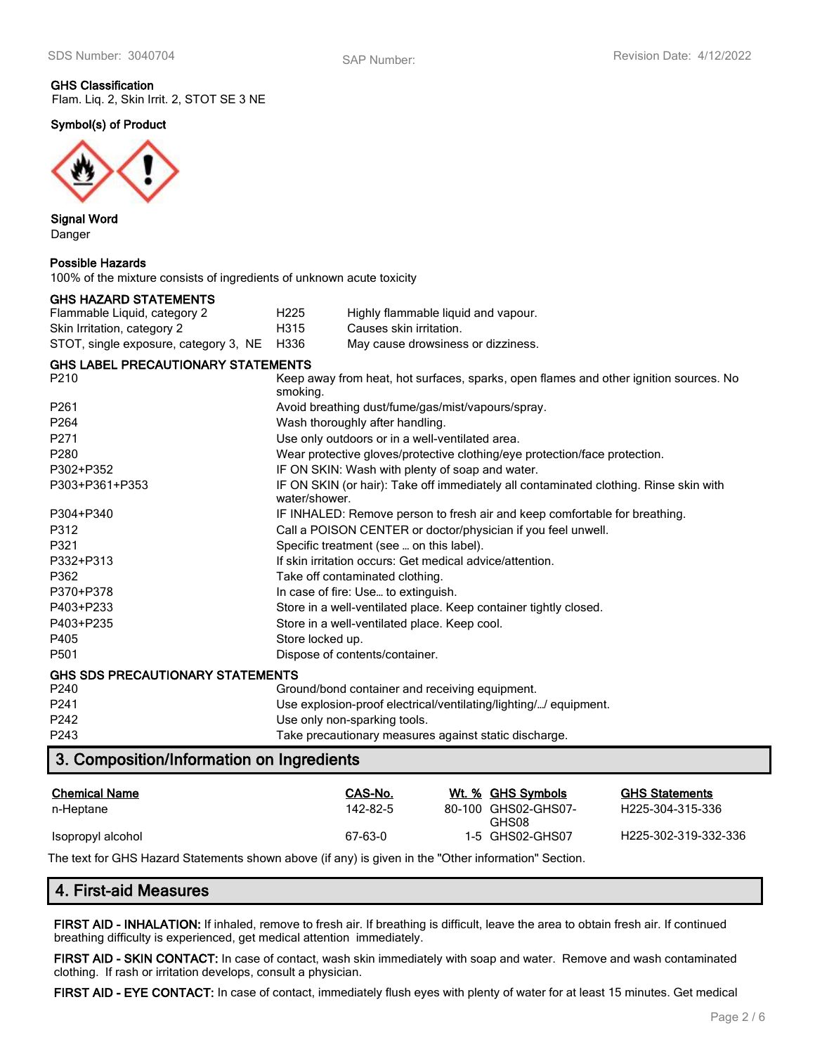#### **GHS Classification** Flam. Liq. 2, Skin Irrit. 2, STOT SE 3 NE

**Symbol(s) of Product**



**Signal Word** Danger

#### **Possible Hazards**

100% of the mixture consists of ingredients of unknown acute toxicity

| GHS HAZARD STATEMENTS                      |                  |                                     |
|--------------------------------------------|------------------|-------------------------------------|
| Flammable Liquid, category 2               | H <sub>225</sub> | Highly flammable liquid and vapour. |
| Skin Irritation, category 2                | H315             | Causes skin irritation.             |
| STOT, single exposure, category 3, NE H336 |                  | May cause drowsiness or dizziness.  |

#### **GHS LABEL PRECAUTIONARY STATEMENTS**

| P210                                    | Keep away from heat, hot surfaces, sparks, open flames and other ignition sources. No<br>smoking.     |
|-----------------------------------------|-------------------------------------------------------------------------------------------------------|
| P <sub>261</sub>                        | Avoid breathing dust/fume/gas/mist/vapours/spray.                                                     |
| P <sub>264</sub>                        | Wash thoroughly after handling.                                                                       |
| P271                                    | Use only outdoors or in a well-ventilated area.                                                       |
| P <sub>280</sub>                        | Wear protective gloves/protective clothing/eye protection/face protection.                            |
| P302+P352                               | IF ON SKIN: Wash with plenty of soap and water.                                                       |
| P303+P361+P353                          | IF ON SKIN (or hair): Take off immediately all contaminated clothing. Rinse skin with<br>water/shower |
| P304+P340                               | IF INHALED: Remove person to fresh air and keep comfortable for breathing.                            |
| P312                                    | Call a POISON CENTER or doctor/physician if you feel unwell.                                          |
| P321                                    | Specific treatment (see  on this label).                                                              |
| P332+P313                               | If skin irritation occurs: Get medical advice/attention.                                              |
| P362                                    | Take off contaminated clothing.                                                                       |
| P370+P378                               | In case of fire: Use to extinguish.                                                                   |
| P403+P233                               | Store in a well-ventilated place. Keep container tightly closed.                                      |
| P403+P235                               | Store in a well-ventilated place. Keep cool.                                                          |
| P405                                    | Store locked up.                                                                                      |
| P <sub>501</sub>                        | Dispose of contents/container.                                                                        |
| <b>GHS SDS PRECAUTIONARY STATEMENTS</b> |                                                                                                       |
| P240                                    | Ground/bond container and receiving equipment.                                                        |
| P241                                    | Use explosion-proof electrical/ventilating/lighting// equipment.                                      |
| P242                                    | Use only non-sparking tools.                                                                          |
| P243                                    | Take precautionary measures against static discharge.                                                 |

# **3. Composition/Information on Ingredients**

| <b>Chemical Name</b> | CAS-No.  | Wt. % GHS Symbols            | <b>GHS Statements</b>         |
|----------------------|----------|------------------------------|-------------------------------|
| n-Heptane            | 142-82-5 | 80-100 GHS02-GHS07-<br>GHS08 | H <sub>225</sub> -304-315-336 |
| Isopropyl alcohol    | 67-63-0  | 1-5 GHS02-GHS07              | H225-302-319-332-336          |

The text for GHS Hazard Statements shown above (if any) is given in the "Other information" Section.

# **4. First-aid Measures**

**FIRST AID - INHALATION:** If inhaled, remove to fresh air. If breathing is difficult, leave the area to obtain fresh air. If continued breathing difficulty is experienced, get medical attention immediately.

**FIRST AID - SKIN CONTACT:** In case of contact, wash skin immediately with soap and water. Remove and wash contaminated clothing. If rash or irritation develops, consult a physician.

**FIRST AID - EYE CONTACT:** In case of contact, immediately flush eyes with plenty of water for at least 15 minutes. Get medical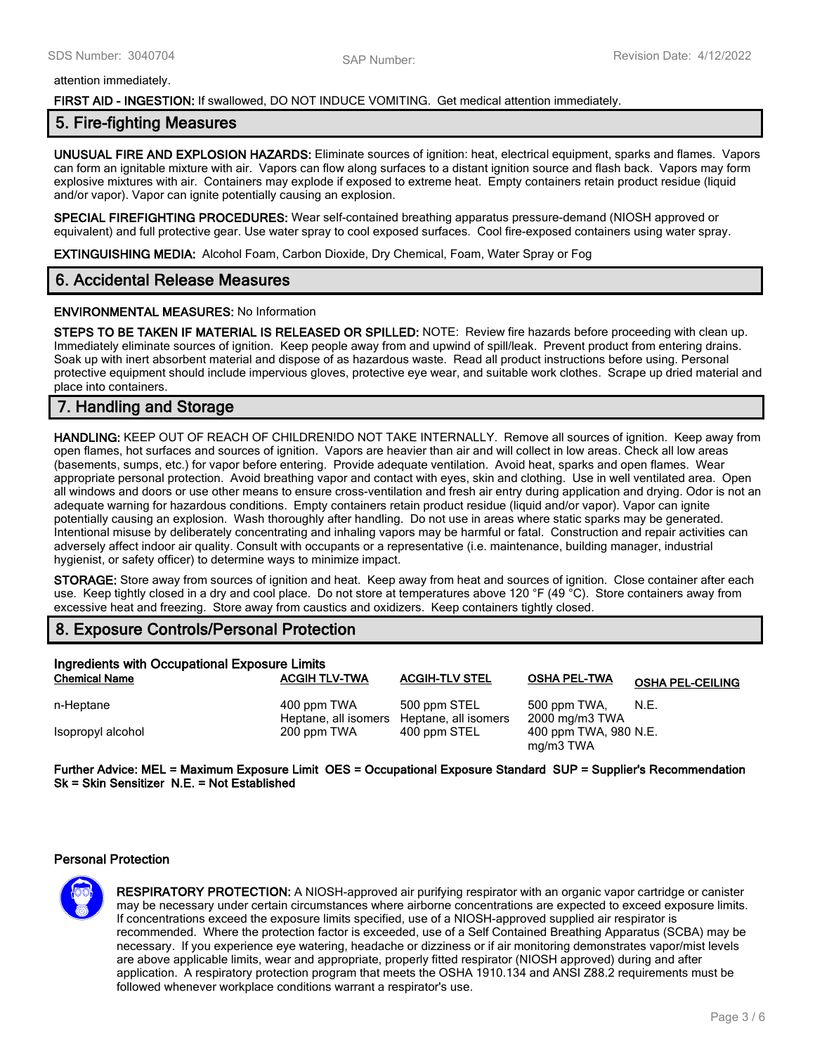#### attention immediately.

#### **FIRST AID - INGESTION:** If swallowed, DO NOT INDUCE VOMITING. Get medical attention immediately.

## **5. Fire-fighting Measures**

**UNUSUAL FIRE AND EXPLOSION HAZARDS:** Eliminate sources of ignition: heat, electrical equipment, sparks and flames. Vapors can form an ignitable mixture with air. Vapors can flow along surfaces to a distant ignition source and flash back. Vapors may form explosive mixtures with air. Containers may explode if exposed to extreme heat. Empty containers retain product residue (liquid and/or vapor). Vapor can ignite potentially causing an explosion.

**SPECIAL FIREFIGHTING PROCEDURES:** Wear self-contained breathing apparatus pressure-demand (NIOSH approved or equivalent) and full protective gear. Use water spray to cool exposed surfaces. Cool fire-exposed containers using water spray.

**EXTINGUISHING MEDIA:** Alcohol Foam, Carbon Dioxide, Dry Chemical, Foam, Water Spray or Fog

## **6. Accidental Release Measures**

#### **ENVIRONMENTAL MEASURES:** No Information

**STEPS TO BE TAKEN IF MATERIAL IS RELEASED OR SPILLED:** NOTE: Review fire hazards before proceeding with clean up. Immediately eliminate sources of ignition. Keep people away from and upwind of spill/leak. Prevent product from entering drains. Soak up with inert absorbent material and dispose of as hazardous waste. Read all product instructions before using. Personal protective equipment should include impervious gloves, protective eye wear, and suitable work clothes. Scrape up dried material and place into containers.

# **7. Handling and Storage**

**HANDLING:** KEEP OUT OF REACH OF CHILDREN!DO NOT TAKE INTERNALLY. Remove all sources of ignition. Keep away from open flames, hot surfaces and sources of ignition. Vapors are heavier than air and will collect in low areas. Check all low areas (basements, sumps, etc.) for vapor before entering. Provide adequate ventilation. Avoid heat, sparks and open flames. Wear appropriate personal protection. Avoid breathing vapor and contact with eyes, skin and clothing. Use in well ventilated area. Open all windows and doors or use other means to ensure cross-ventilation and fresh air entry during application and drying. Odor is not an adequate warning for hazardous conditions. Empty containers retain product residue (liquid and/or vapor). Vapor can ignite potentially causing an explosion. Wash thoroughly after handling. Do not use in areas where static sparks may be generated. Intentional misuse by deliberately concentrating and inhaling vapors may be harmful or fatal. Construction and repair activities can adversely affect indoor air quality. Consult with occupants or a representative (i.e. maintenance, building manager, industrial hygienist, or safety officer) to determine ways to minimize impact.

**STORAGE:** Store away from sources of ignition and heat. Keep away from heat and sources of ignition. Close container after each use. Keep tightly closed in a dry and cool place. Do not store at temperatures above 120 °F (49 °C). Store containers away from excessive heat and freezing. Store away from caustics and oxidizers. Keep containers tightly closed.

## **8. Exposure Controls/Personal Protection**

| Ingredients with Occupational Exposure Limits |                                                          |                       |                                    |                         |  |
|-----------------------------------------------|----------------------------------------------------------|-----------------------|------------------------------------|-------------------------|--|
| <b>Chemical Name</b>                          | <b>ACGIH TLV-TWA</b>                                     | <b>ACGIH-TLV STEL</b> | <b>OSHA PEL-TWA</b>                | <b>OSHA PEL-CEILING</b> |  |
| n-Heptane                                     | 400 ppm TWA<br>Heptane, all isomers Heptane, all isomers | 500 ppm STEL          | 500 ppm TWA,<br>2000 mg/m3 TWA     | N.E.                    |  |
| Isopropyl alcohol                             | 200 ppm TWA                                              | 400 ppm STEL          | 400 ppm TWA, 980 N.E.<br>mg/m3 TWA |                         |  |

**Further Advice: MEL = Maximum Exposure Limit OES = Occupational Exposure Standard SUP = Supplier's Recommendation Sk = Skin Sensitizer N.E. = Not Established**

#### **Personal Protection**



**RESPIRATORY PROTECTION:** A NIOSH-approved air purifying respirator with an organic vapor cartridge or canister may be necessary under certain circumstances where airborne concentrations are expected to exceed exposure limits. If concentrations exceed the exposure limits specified, use of a NIOSH-approved supplied air respirator is recommended. Where the protection factor is exceeded, use of a Self Contained Breathing Apparatus (SCBA) may be necessary. If you experience eye watering, headache or dizziness or if air monitoring demonstrates vapor/mist levels are above applicable limits, wear and appropriate, properly fitted respirator (NIOSH approved) during and after application. A respiratory protection program that meets the OSHA 1910.134 and ANSI Z88.2 requirements must be followed whenever workplace conditions warrant a respirator's use.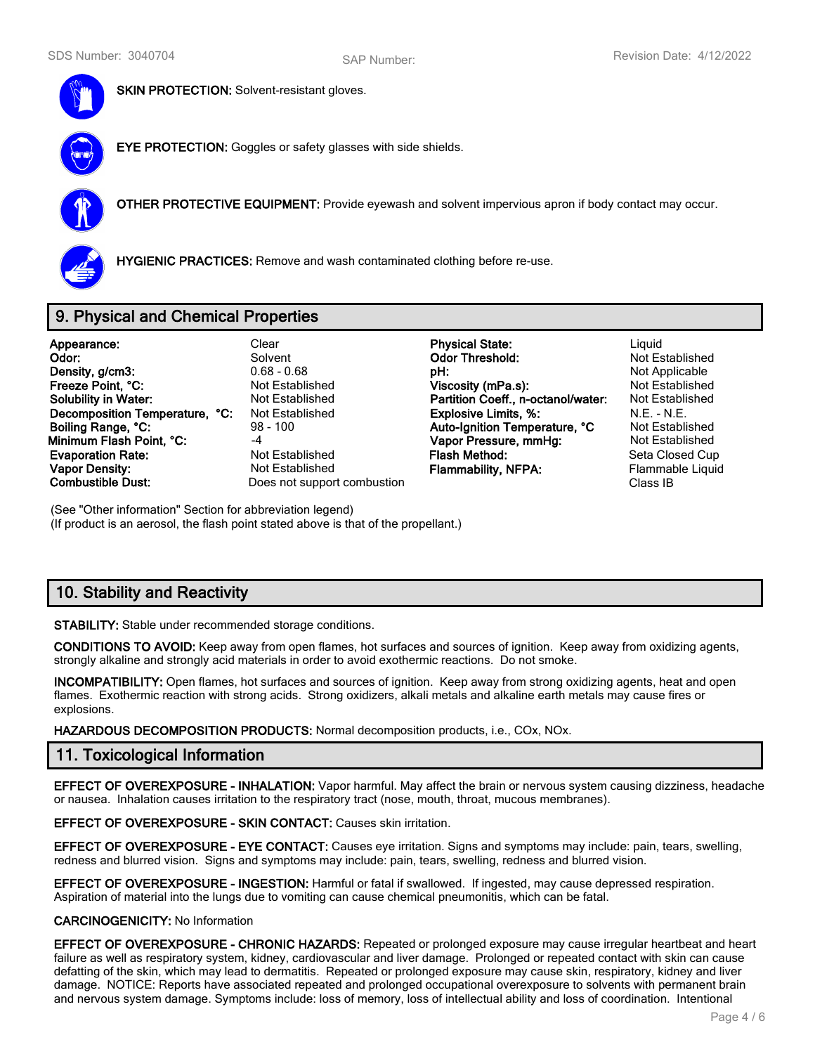

**SKIN PROTECTION: Solvent-resistant gloves.** 

**EYE PROTECTION:** Goggles or safety glasses with side shields.



**OTHER PROTECTIVE EQUIPMENT:** Provide eyewash and solvent impervious apron if body contact may occur.



**HYGIENIC PRACTICES:** Remove and wash contaminated clothing before re-use.

# **9. Physical and Chemical Properties**

| Appearance:                    | Cle  |
|--------------------------------|------|
| Odor:                          | Sol  |
| Density, g/cm3:                | 0.68 |
| Freeze Point, °C:              | Not  |
| <b>Solubility in Water:</b>    | Not  |
| Decomposition Temperature, °C: | Not  |
| Boiling Range, °C:             | 98 - |
| Minimum Flash Point, °C:       | $-4$ |
| <b>Evaporation Rate:</b>       | Not  |
| <b>Vapor Density:</b>          | Not  |
| <b>Combustible Dust:</b>       | Doe  |
|                                |      |

**Example 3 Is not support combustion** 

**Appearance:** Clear **Physical State:** Clear **Clear Clear Physical State:** Clear Physical Physical State: **Odor:** Solvent **Odor Threshold:** Not Established **DH:** 0.68 - 0.68 - 0.68 - 0.68 - 0.68 - 0.68 - 0.68 - 0.68 - 0.68 - 0.68 - 0.68 - 0.68 - 0.68 - 0.68 - 0.68 - 0.68 - 0.68 - 0.68 - 0.68 - 0.68 - 0.68 - 0.68 - 0.68 - 0.68 - 0.68 - 0.68 - 0.68 - 0.68 - 0.68 - 0.68 - 0.68 -**Freeze Established Miscosity (mPa.s):** Not Established Established **Partition Coeff., n-octanol/water:** Not Established **Decomposition Explosive Limits, %:** N.E. - N.E.<br>100 **Auto-Ignition Temperature. °C** Not Established **Auto-Ignition Temperature, °C Vapor Pressure, mmHg:** Not Established **Established Flash Method:** Seta Closed Cup Established **Flammability, NFPA:** Flammable Liquid<br>s not support combustion **Flammability, NFPA:** Class IB

(See "Other information" Section for abbreviation legend) (If product is an aerosol, the flash point stated above is that of the propellant.)

# **10. Stability and Reactivity**

**STABILITY:** Stable under recommended storage conditions.

**CONDITIONS TO AVOID:** Keep away from open flames, hot surfaces and sources of ignition. Keep away from oxidizing agents, strongly alkaline and strongly acid materials in order to avoid exothermic reactions. Do not smoke.

**INCOMPATIBILITY:** Open flames, hot surfaces and sources of ignition. Keep away from strong oxidizing agents, heat and open flames. Exothermic reaction with strong acids. Strong oxidizers, alkali metals and alkaline earth metals may cause fires or explosions.

**HAZARDOUS DECOMPOSITION PRODUCTS:** Normal decomposition products, i.e., COx, NOx.

# **11. Toxicological Information**

**EFFECT OF OVEREXPOSURE - INHALATION:** Vapor harmful. May affect the brain or nervous system causing dizziness, headache or nausea. Inhalation causes irritation to the respiratory tract (nose, mouth, throat, mucous membranes).

**EFFECT OF OVEREXPOSURE - SKIN CONTACT:** Causes skin irritation.

**EFFECT OF OVEREXPOSURE - EYE CONTACT:** Causes eye irritation. Signs and symptoms may include: pain, tears, swelling, redness and blurred vision. Signs and symptoms may include: pain, tears, swelling, redness and blurred vision.

**EFFECT OF OVEREXPOSURE - INGESTION:** Harmful or fatal if swallowed. If ingested, may cause depressed respiration. Aspiration of material into the lungs due to vomiting can cause chemical pneumonitis, which can be fatal.

#### **CARCINOGENICITY:** No Information

**EFFECT OF OVEREXPOSURE - CHRONIC HAZARDS:** Repeated or prolonged exposure may cause irregular heartbeat and heart failure as well as respiratory system, kidney, cardiovascular and liver damage. Prolonged or repeated contact with skin can cause defatting of the skin, which may lead to dermatitis. Repeated or prolonged exposure may cause skin, respiratory, kidney and liver damage. NOTICE: Reports have associated repeated and prolonged occupational overexposure to solvents with permanent brain and nervous system damage. Symptoms include: loss of memory, loss of intellectual ability and loss of coordination. Intentional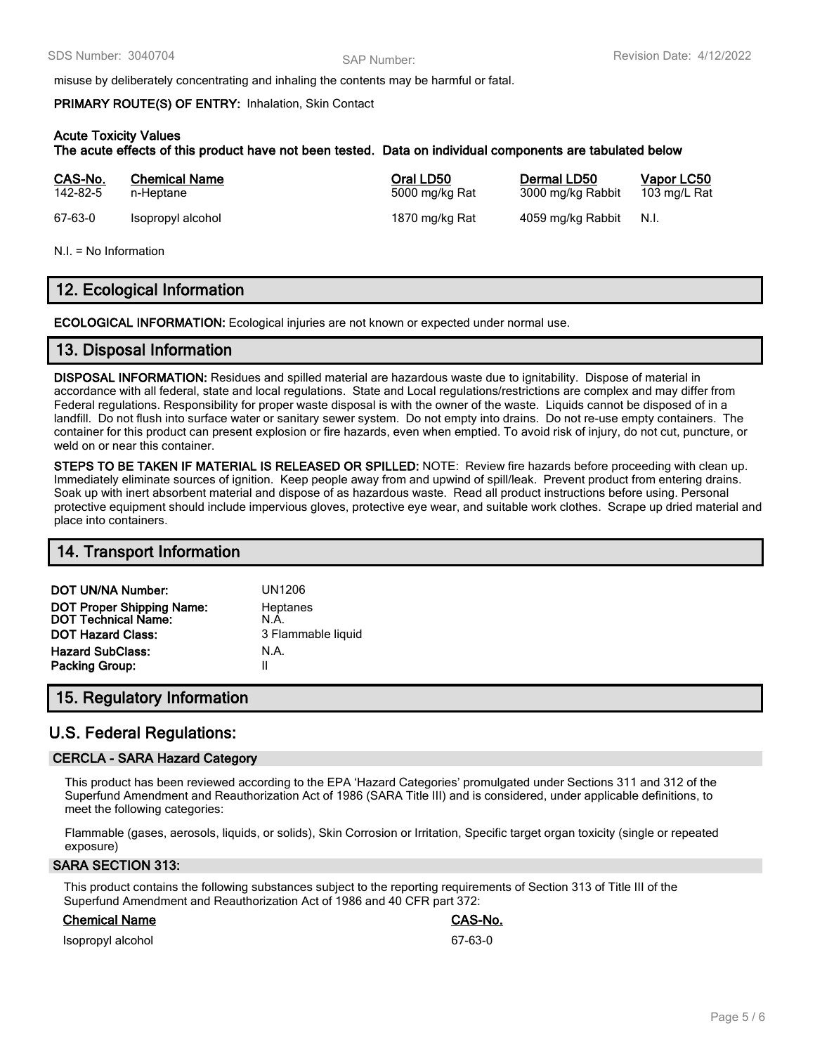misuse by deliberately concentrating and inhaling the contents may be harmful or fatal.

#### **PRIMARY ROUTE(S) OF ENTRY:** Inhalation, Skin Contact

### **Acute Toxicity Values**

**The acute effects of this product have not been tested. Data on individual components are tabulated below**

| CAS-No.  | <b>Chemical Name</b> | Oral LD50      | Dermal LD50       | Vapor LC50   |
|----------|----------------------|----------------|-------------------|--------------|
| 142-82-5 | n-Heptane            | 5000 mg/kg Rat | 3000 mg/kg Rabbit | 103 mg/L Rat |
| 67-63-0  | Isopropyl alcohol    | 1870 mg/kg Rat | 4059 mg/kg Rabbit | N.I.         |

N.I. = No Information

# **12. Ecological Information**

**ECOLOGICAL INFORMATION:** Ecological injuries are not known or expected under normal use.

## **13. Disposal Information**

**DISPOSAL INFORMATION:** Residues and spilled material are hazardous waste due to ignitability. Dispose of material in accordance with all federal, state and local regulations. State and Local regulations/restrictions are complex and may differ from Federal regulations. Responsibility for proper waste disposal is with the owner of the waste. Liquids cannot be disposed of in a landfill. Do not flush into surface water or sanitary sewer system. Do not empty into drains. Do not re-use empty containers. The container for this product can present explosion or fire hazards, even when emptied. To avoid risk of injury, do not cut, puncture, or weld on or near this container.

**STEPS TO BE TAKEN IF MATERIAL IS RELEASED OR SPILLED:** NOTE: Review fire hazards before proceeding with clean up. Immediately eliminate sources of ignition. Keep people away from and upwind of spill/leak. Prevent product from entering drains. Soak up with inert absorbent material and dispose of as hazardous waste. Read all product instructions before using. Personal protective equipment should include impervious gloves, protective eye wear, and suitable work clothes. Scrape up dried material and place into containers.

## **14. Transport Information**

| DOT UN/NA Number:                                | <b>UN1206</b>      |
|--------------------------------------------------|--------------------|
| DOT Proper Shipping Name:<br>DOT Technical Name: | Heptanes<br>N.A.   |
| <b>DOT Hazard Class:</b>                         | 3 Flammable liquid |
| <b>Hazard SubClass:</b>                          | N.A.               |
| <b>Packing Group:</b>                            | Ш                  |

# **15. Regulatory Information**

# **U.S. Federal Regulations:**

## **CERCLA - SARA Hazard Category**

This product has been reviewed according to the EPA 'Hazard Categories' promulgated under Sections 311 and 312 of the Superfund Amendment and Reauthorization Act of 1986 (SARA Title III) and is considered, under applicable definitions, to meet the following categories:

Flammable (gases, aerosols, liquids, or solids), Skin Corrosion or Irritation, Specific target organ toxicity (single or repeated exposure)

#### **SARA SECTION 313:**

This product contains the following substances subject to the reporting requirements of Section 313 of Title III of the Superfund Amendment and Reauthorization Act of 1986 and 40 CFR part 372:

#### **Chemical Name CAS-No.**

Isopropyl alcohol 67-63-0